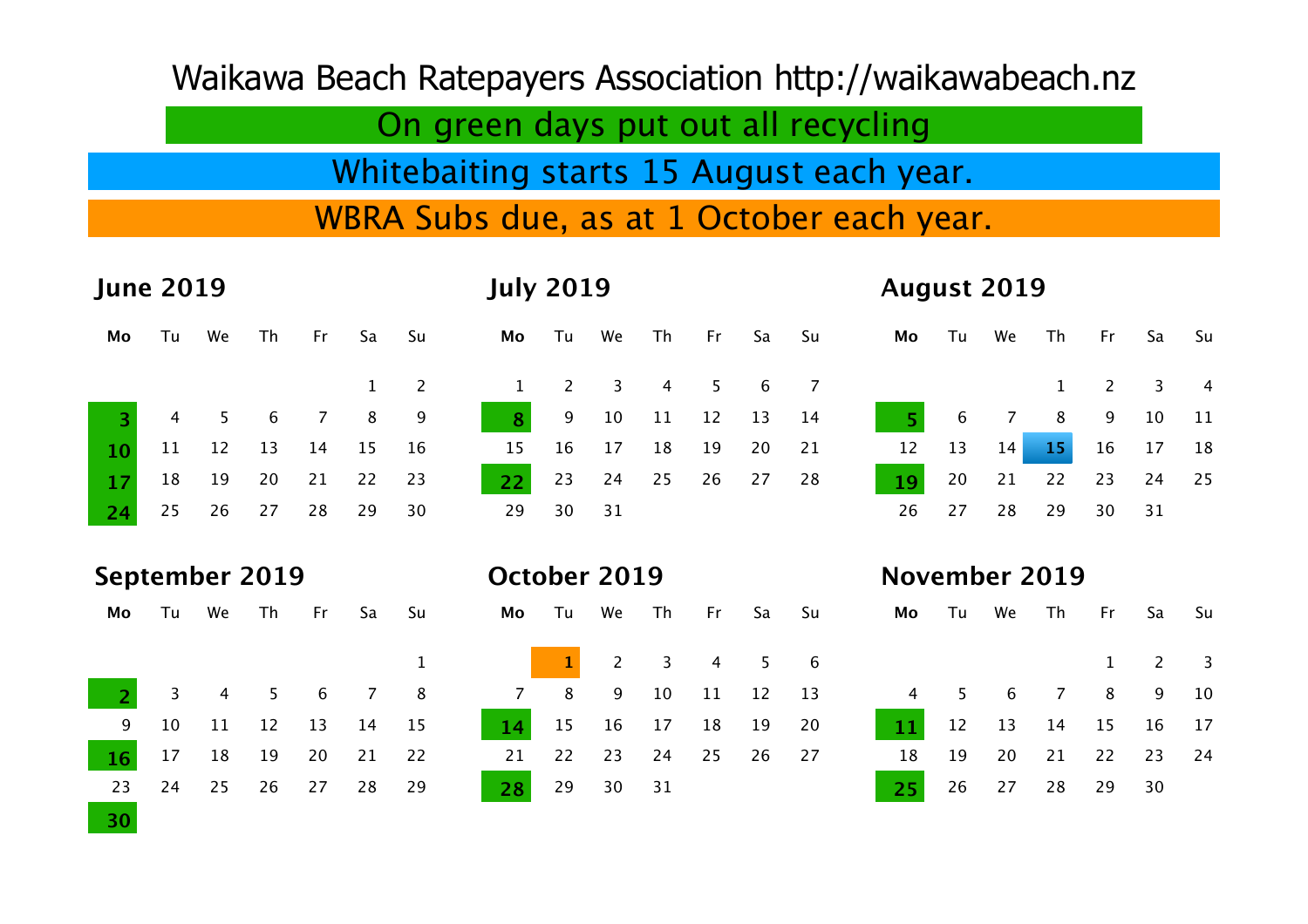Waikawa Beach Ratepayers Association<http://waikawabeach.nz>

On green days put out all recycling

Whitebaiting starts 15 August each year.

WBRA Subs due, as at 1 October each year.

| <b>June 2019</b> |    |    |                 |                |                | <b>July 2019</b> |                |                |                |                |    |    | <b>August 2019</b> |    |                      |                |                |                |                |                |
|------------------|----|----|-----------------|----------------|----------------|------------------|----------------|----------------|----------------|----------------|----|----|--------------------|----|----------------------|----------------|----------------|----------------|----------------|----------------|
| Mo               | Tu | We | Th              | Fr             | Sa             | Su               | Mo             | Tu             | We             | Th             | Fr | Sa | Su                 | Mo | Tu                   | We             | Th             | Fr             | Sa             | Su             |
|                  |    |    |                 |                | $\mathbf{1}$   | $\overline{2}$   | $\mathbf{1}$   | $\overline{2}$ | $\overline{3}$ | $\overline{4}$ | 5  | 6  | $\overline{7}$     |    |                      |                | $\mathbf{1}$   | $\overline{2}$ | 3              | $\overline{4}$ |
| 3                | 4  | 5  | $6\phantom{1}6$ | $\overline{7}$ | 8              | 9                | $\overline{8}$ | 9              | 10             | 11             | 12 | 13 | 14                 | 5  | 6                    | $\overline{7}$ | 8              | 9              | 10             | 11             |
| 10               | 11 | 12 | 13              | 14             | 15             | 16               | 15             | 16             | 17             | 18             | 19 | 20 | 21                 | 12 | 13                   | 14             | 15             | 16             | 17             | 18             |
| 17               | 18 | 19 | 20              | 21             | 22             | 23               | 22             | 23             | 24             | 25             | 26 | 27 | 28                 | 19 | 20                   | 21             | 22             | 23             | 24             | 25             |
| 24               | 25 | 26 | 27              | 28             | 29             | 30               | 29             | 30             | 31             |                |    |    |                    | 26 | 27                   | 28             | 29             | 30             | 31             |                |
|                  |    |    |                 |                |                |                  |                |                |                |                |    |    |                    |    |                      |                |                |                |                |                |
|                  |    |    |                 |                |                |                  |                |                |                |                |    |    |                    |    |                      |                |                |                |                |                |
| September 2019   |    |    |                 |                |                |                  | October 2019   |                |                |                |    |    |                    |    | <b>November 2019</b> |                |                |                |                |                |
| Mo               | Tu | We | Th              | Fr             | Sa             | Su               | Mo             | Tu             | We             | Th             | Fr | Sa | Su                 | Mo | Tu                   | We             | Th             | Fr             | Sa             | Su             |
|                  |    |    |                 |                |                | $\mathbf 1$      |                | 1              | $\overline{c}$ | $\overline{3}$ | 4  | 5  | $6\,$              |    |                      |                |                | 1              | $\overline{c}$ | 3              |
| 2                | 3  | 4  | 5               | 6              | $\overline{7}$ | 8                | $\overline{7}$ | 8              | 9              | 10             | 11 | 12 | 13                 | 4  | 5                    | 6              | $\overline{7}$ | 8              | 9              | 10             |
| 9                | 10 | 11 | 12              | 13             | 14             | 15               | 14             | 15             | 16             | 17             | 18 | 19 | 20                 | 11 | 12                   | 13             | 14             | 15             | 16             | 17             |
| 16               | 17 | 18 | 19              | 20             | 21             | 22               | 21             | 22             | 23             | 24             | 25 | 26 | 27                 | 18 | 19                   | 20             | 21             | 22             | 23             | 24             |
| 23               | 24 | 25 | 26              | 27             | 28             | 29               | 28             | 29             | 30             | 31             |    |    |                    | 25 | 26                   | 27             | 28             | 29             | 30             |                |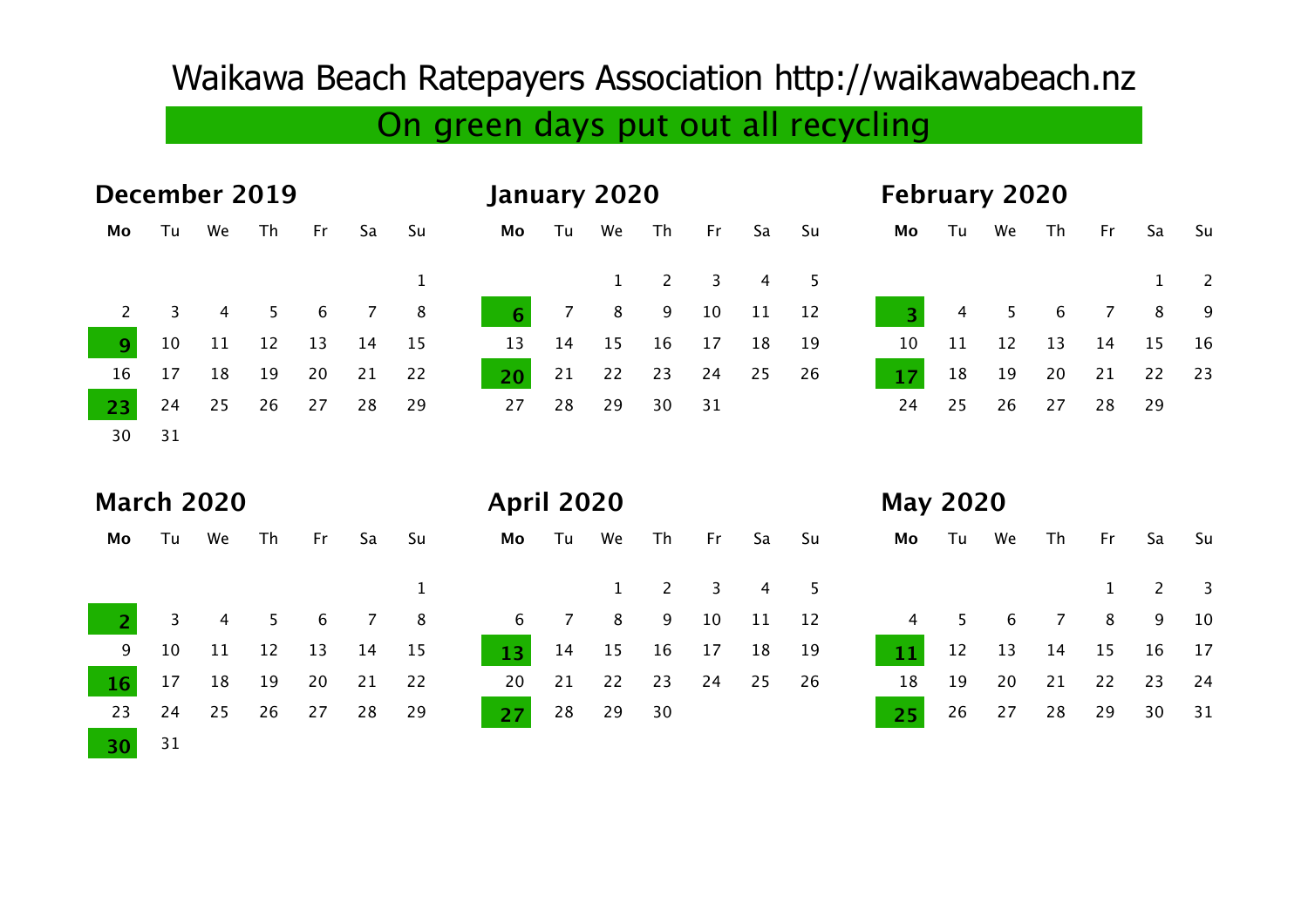## Waikawa Beach Ratepayers Association<http://waikawabeach.nz>

## On green days put out all recycling